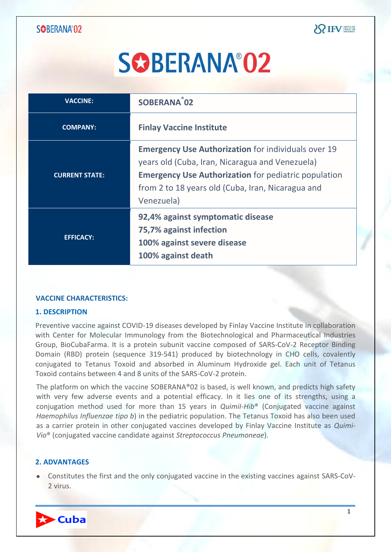| <b>VACCINE:</b>       | SOBERANA <sup>®</sup> 02                                                                                                                                                                                                                        |
|-----------------------|-------------------------------------------------------------------------------------------------------------------------------------------------------------------------------------------------------------------------------------------------|
| <b>COMPANY:</b>       | <b>Finlay Vaccine Institute</b>                                                                                                                                                                                                                 |
| <b>CURRENT STATE:</b> | <b>Emergency Use Authorization</b> for individuals over 19<br>years old (Cuba, Iran, Nicaragua and Venezuela)<br><b>Emergency Use Authorization</b> for pediatric population<br>from 2 to 18 years old (Cuba, Iran, Nicaragua and<br>Venezuela) |
| <b>EFFICACY:</b>      | 92,4% against symptomatic disease<br>75,7% against infection<br>100% against severe disease<br>100% against death                                                                                                                               |

#### **VACCINE CHARACTERISTICS:**

#### **1. DESCRIPTION**

Preventive vaccine against COVID-19 diseases developed by Finlay Vaccine Institute in collaboration with Center for Molecular Immunology from the Biotechnological and Pharmaceutical Industries Group, BioCubaFarma. It is a protein subunit vaccine composed of SARS-CoV-2 Receptor Binding Domain (RBD) protein (sequence 319-541) produced by biotechnology in CHO cells, covalently conjugated to Tetanus Toxoid and absorbed in Aluminum Hydroxide gel. Each unit of Tetanus Toxoid contains between 4 and 8 units of the SARS-CoV-2 protein.

The platform on which the vaccine SOBERANA®02 is based, is well known, and predicts high safety with very few adverse events and a potential efficacy. In it lies one of its strengths, using a conjugation method used for more than 15 years in *QuimiI-Hib*® (Conjugated vaccine against *Haemophilus Influenzae tipo b*) in the pediatric population. The Tetanus Toxoid has also been used as a carrier protein in other conjugated vaccines developed by Finlay Vaccine Institute as *Quimi-Vio*® (conjugated vaccine candidate against *Streptococcus Pneumoneae*).

#### **2. ADVANTAGES**

Constitutes the first and the only conjugated vaccine in the existing vaccines against SARS-CoV-2 virus.

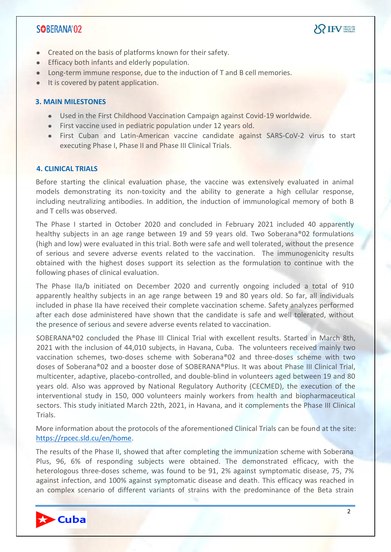

- Created on the basis of platforms known for their safety.
- **Efficacy both infants and elderly population.**
- Long-term immune response, due to the induction of T and B cell memories.
- It is covered by patent application.

#### **3. MAIN MILESTONES**

- Used in the First Childhood Vaccination Campaign against Covid-19 worldwide.
- First vaccine used in pediatric population under 12 years old.
- First Cuban and Latin-American vaccine candidate against SARS-CoV-2 virus to start executing Phase I, Phase II and Phase III Clinical Trials.

#### **4. CLINICAL TRIALS**

Before starting the clinical evaluation phase, the vaccine was extensively evaluated in animal models demonstrating its non-toxicity and the ability to generate a high cellular response, including neutralizing antibodies. In addition, the induction of immunological memory of both B and T cells was observed.

The Phase I started in October 2020 and concluded in February 2021 included 40 apparently healthy subjects in an age range between 19 and 59 years old. Two Soberana®02 formulations (high and low) were evaluated in this trial. Both were safe and well tolerated, without the presence of serious and severe adverse events related to the vaccination. The immunogenicity results obtained with the highest doses support its selection as the formulation to continue with the following phases of clinical evaluation.

The Phase IIa/b initiated on December 2020 and currently ongoing included a total of 910 apparently healthy subjects in an age range between 19 and 80 years old. So far, all individuals included in phase IIa have received their complete vaccination scheme. Safety analyzes performed after each dose administered have shown that the candidate is safe and well tolerated, without the presence of serious and severe adverse events related to vaccination.

SOBERANA®02 concluded the Phase III Clinical Trial with excellent results. Started in March 8th, 2021 with the inclusion of 44,010 subjects, in Havana, Cuba. The volunteers received mainly two vaccination schemes, two-doses scheme with Soberana®02 and three-doses scheme with two doses of Soberana®02 and a booster dose of SOBERANA®Plus. It was about Phase III Clinical Trial, multicenter, adaptive, placebo-controlled, and double-blind in volunteers aged between 19 and 80 years old. Also was approved by National Regulatory Authority (CECMED), the execution of the interventional study in 150, 000 volunteers mainly workers from health and biopharmaceutical sectors. This study initiated March 22th, 2021, in Havana, and it complements the Phase III Clinical Trials.

More information about the protocols of the aforementioned Clinical Trials can be found at the site: [https://rpcec.sld.cu/en/home.](https://rpcec.sld.cu/en/home)

The results of the Phase II, showed that after completing the immunization scheme with Soberana Plus, 96, 6% of responding subjects were obtained. The demonstrated efficacy, with the heterologous three-doses scheme, was found to be 91, 2% against symptomatic disease, 75, 7% against infection, and 100% against symptomatic disease and death. This efficacy was reached in an complex scenario of different variants of strains with the predominance of the Beta strain

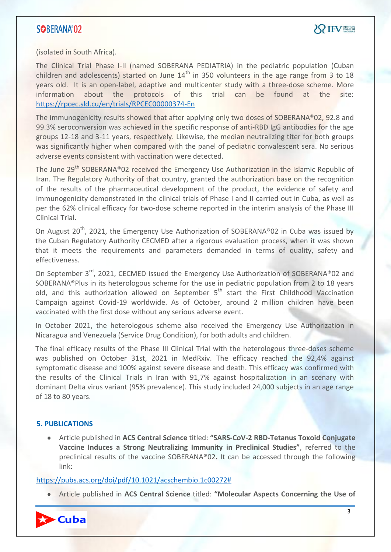(isolated in South Africa).

The Clinical Trial Phase I-II (named SOBERANA PEDIATRIA) in the pediatric population (Cuban children and adolescents) started on June  $14<sup>th</sup>$  in 350 volunteers in the age range from 3 to 18 years old. It is an open-label, adaptive and multicenter study with a three-dose scheme. More information about the protocols of this trial can be found at the site: <https://rpcec.sld.cu/en/trials/RPCEC00000374-En>

The immunogenicity results showed that after applying only two doses of SOBERANA®02, 92.8 and 99.3% seroconversion was achieved in the specific response of anti-RBD IgG antibodies for the age groups 12-18 and 3-11 years, respectively. Likewise, the median neutralizing titer for both groups was significantly higher when compared with the panel of pediatric convalescent sera. No serious adverse events consistent with vaccination were detected.

The June 29<sup>th</sup> SOBERANA®02 received the Emergency Use Authorization in the Islamic Republic of Iran. The Regulatory Authority of that country, granted the authorization base on the recognition of the results of the pharmaceutical development of the product, the evidence of safety and immunogenicity demonstrated in the clinical trials of Phase I and II carried out in Cuba, as well as per the 62% clinical efficacy for two-dose scheme reported in the interim analysis of the Phase III Clinical Trial.

On August 20<sup>th</sup>, 2021, the Emergency Use Authorization of SOBERANA<sup>®</sup>02 in Cuba was issued by the Cuban Regulatory Authority CECMED after a rigorous evaluation process, when it was shown that it meets the requirements and parameters demanded in terms of quality, safety and effectiveness.

On September 3<sup>rd</sup>, 2021, CECMED issued the Emergency Use Authorization of SOBERANA®02 and SOBERANA®Plus in its heterologous scheme for the use in pediatric population from 2 to 18 years old, and this authorization allowed on September  $5<sup>th</sup>$  start the First Childhood Vaccination Campaign against Covid-19 worldwide. As of October, around 2 million children have been vaccinated with the first dose without any serious adverse event.

In October 2021, the heterologous scheme also received the Emergency Use Authorization in Nicaragua and Venezuela (Service Drug Condition), for both adults and children.

The final efficacy results of the Phase III Clinical Trial with the heterologous three-doses scheme was published on October 31st, 2021 in MedRxiv. The efficacy reached the 92,4% against symptomatic disease and 100% against severe disease and death. This efficacy was confirmed with the results of the Clinical Trials in Iran with 91,7% against hospitalization in an scenary with dominant Delta virus variant (95% prevalence). This study included 24,000 subjects in an age range of 18 to 80 years.

#### **5. PUBLICATIONS**

Article published in **ACS Central Science** titled: **"SARS-CoV-2 RBD-Tetanus Toxoid Conjugate Vaccine Induces a Strong Neutralizing Immunity in Preclinical Studies"**, referred to the preclinical results of the vaccine SOBERANA®02**.** It can be accessed through the following link:

#### [https://pubs.acs.org/doi/pdf/10.1021/acschembio.1c00272#](https://pubs.acs.org/doi/pdf/10.1021/acschembio.1c00272)

Article published in **ACS Central Science** titled: **"Molecular Aspects Concerning the Use of** 

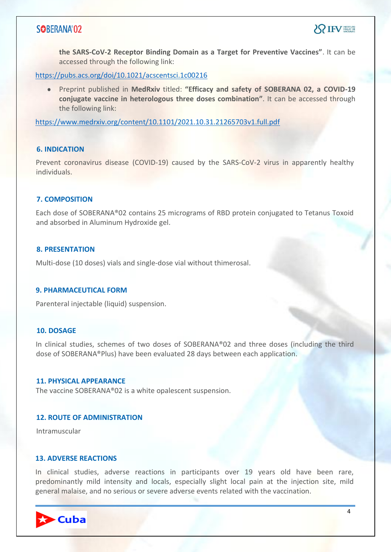**the SARS-CoV-2 Receptor Binding Domain as a Target for Preventive Vaccines"**. It can be accessed through the following link:

<https://pubs.acs.org/doi/10.1021/acscentsci.1c00216>

Preprint published in **MedRxiv** titled: **"Efficacy and safety of SOBERANA 02, a COVID-19 conjugate vaccine in heterologous three doses combination"**. It can be accessed through the following link:

<https://www.medrxiv.org/content/10.1101/2021.10.31.21265703v1.full.pdf>

#### **6. INDICATION**

Prevent coronavirus disease (COVID-19) caused by the SARS-CoV-2 virus in apparently healthy individuals.

#### **7. COMPOSITION**

Each dose of SOBERANA®02 contains 25 micrograms of RBD protein conjugated to Tetanus Toxoid and absorbed in Aluminum Hydroxide gel.

#### **8. PRESENTATION**

Multi-dose (10 doses) vials and single-dose vial without thimerosal.

#### **9. PHARMACEUTICAL FORM**

Parenteral injectable (liquid) suspension.

#### **10. DOSAGE**

In clinical studies, schemes of two doses of SOBERANA®02 and three doses (including the third dose of SOBERANA®Plus) have been evaluated 28 days between each application.

#### **11. PHYSICAL APPEARANCE**

The vaccine SOBERANA®02 is a white opalescent suspension.

#### **12. ROUTE OF ADMINISTRATION**

Intramuscular

#### **13. ADVERSE REACTIONS**

In clinical studies, adverse reactions in participants over 19 years old have been rare, predominantly mild intensity and locals, especially slight local pain at the injection site, mild general malaise, and no serious or severe adverse events related with the vaccination.